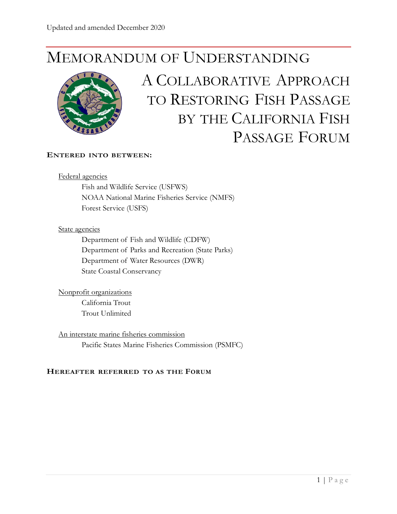# MEMORANDUM OF UNDERSTANDING



# A COLLABORATIVE APPROACH TO RESTORING FISH PASSAGE BY THE CALIFORNIA FISH PASSAGE FORUM

#### **ENTERED INTO BETWEEN:**

#### Federal agencies

Fish and Wildlife Service (USFWS) NOAA National Marine Fisheries Service (NMFS) Forest Service (USFS)

#### State agencies

Department of Fish and Wildlife (CDFW) Department of Parks and Recreation (State Parks) Department of Water Resources (DWR) State Coastal Conservancy

Nonprofit organizations California Trout Trout Unlimited

An interstate marine fisheries commission Pacific States Marine Fisheries Commission (PSMFC)

# **HEREAFTER REFERRED TO AS THE FORUM**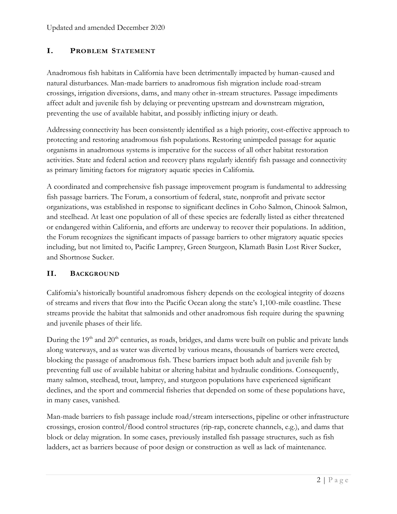# **I. PROBLEM STATEMENT**

Anadromous fish habitats in California have been detrimentally impacted by human-caused and natural disturbances. Man-made barriers to anadromous fish migration include road-stream crossings, irrigation diversions, dams, and many other in-stream structures. Passage impediments affect adult and juvenile fish by delaying or preventing upstream and downstream migration, preventing the use of available habitat, and possibly inflicting injury or death.

Addressing connectivity has been consistently identified as a high priority, cost-effective approach to protecting and restoring anadromous fish populations. Restoring unimpeded passage for aquatic organisms in anadromous systems is imperative for the success of all other habitat restoration activities. State and federal action and recovery plans regularly identify fish passage and connectivity as primary limiting factors for migratory aquatic species in California.

A coordinated and comprehensive fish passage improvement program is fundamental to addressing fish passage barriers. The Forum, a consortium of federal, state, nonprofit and private sector organizations, was established in response to significant declines in Coho Salmon, Chinook Salmon, and steelhead. At least one population of all of these species are federally listed as either threatened or endangered within California, and efforts are underway to recover their populations. In addition, the Forum recognizes the significant impacts of passage barriers to other migratory aquatic species including, but not limited to, Pacific Lamprey, Green Sturgeon, Klamath Basin Lost River Sucker, and Shortnose Sucker.

#### **II. BACKGROUND**

California's historically bountiful anadromous fishery depends on the ecological integrity of dozens of streams and rivers that flow into the Pacific Ocean along the state's 1,100-mile coastline. These streams provide the habitat that salmonids and other anadromous fish require during the spawning and juvenile phases of their life.

During the  $19<sup>th</sup>$  and  $20<sup>th</sup>$  centuries, as roads, bridges, and dams were built on public and private lands along waterways, and as water was diverted by various means, thousands of barriers were erected, blocking the passage of anadromous fish. These barriers impact both adult and juvenile fish by preventing full use of available habitat or altering habitat and hydraulic conditions. Consequently, many salmon, steelhead, trout, lamprey, and sturgeon populations have experienced significant declines, and the sport and commercial fisheries that depended on some of these populations have, in many cases, vanished.

Man-made barriers to fish passage include road/stream intersections, pipeline or other infrastructure crossings, erosion control/flood control structures (rip-rap, concrete channels, e.g.), and dams that block or delay migration. In some cases, previously installed fish passage structures, such as fish ladders, act as barriers because of poor design or construction as well as lack of maintenance.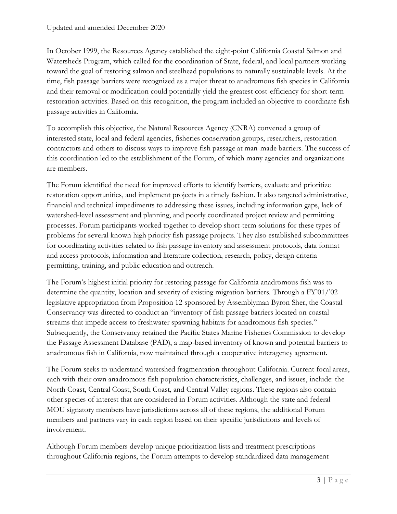In October 1999, the Resources Agency established the eight-point California Coastal Salmon and Watersheds Program, which called for the coordination of State, federal, and local partners working toward the goal of restoring salmon and steelhead populations to naturally sustainable levels. At the time, fish passage barriers were recognized as a major threat to anadromous fish species in California and their removal or modification could potentially yield the greatest cost-efficiency for short-term restoration activities. Based on this recognition, the program included an objective to coordinate fish passage activities in California.

To accomplish this objective, the Natural Resources Agency (CNRA) convened a group of interested state, local and federal agencies, fisheries conservation groups, researchers, restoration contractors and others to discuss ways to improve fish passage at man-made barriers. The success of this coordination led to the establishment of the Forum, of which many agencies and organizations are members.

The Forum identified the need for improved efforts to identify barriers, evaluate and prioritize restoration opportunities, and implement projects in a timely fashion. It also targeted administrative, financial and technical impediments to addressing these issues, including information gaps, lack of watershed-level assessment and planning, and poorly coordinated project review and permitting processes. Forum participants worked together to develop short-term solutions for these types of problems for several known high priority fish passage projects. They also established subcommittees for coordinating activities related to fish passage inventory and assessment protocols, data format and access protocols, information and literature collection, research, policy, design criteria permitting, training, and public education and outreach.

The Forum's highest initial priority for restoring passage for California anadromous fish was to determine the quantity, location and severity of existing migration barriers. Through a FY'01/'02 legislative appropriation from Proposition 12 sponsored by Assemblyman Byron Sher, the Coastal Conservancy was directed to conduct an "inventory of fish passage barriers located on coastal streams that impede access to freshwater spawning habitats for anadromous fish species." Subsequently, the Conservancy retained the Pacific States Marine Fisheries Commission to develop the Passage Assessment Database (PAD), a map-based inventory of known and potential barriers to anadromous fish in California, now maintained through a cooperative interagency agreement.

The Forum seeks to understand watershed fragmentation throughout California. Current focal areas, each with their own anadromous fish population characteristics, challenges, and issues, include: the North Coast, Central Coast, South Coast, and Central Valley regions. These regions also contain other species of interest that are considered in Forum activities. Although the state and federal MOU signatory members have jurisdictions across all of these regions, the additional Forum members and partners vary in each region based on their specific jurisdictions and levels of involvement.

Although Forum members develop unique prioritization lists and treatment prescriptions throughout California regions, the Forum attempts to develop standardized data management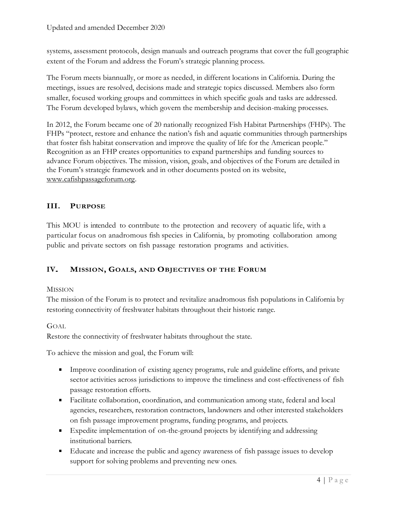systems, assessment protocols, design manuals and outreach programs that cover the full geographic extent of the Forum and address the Forum's strategic planning process.

The Forum meets biannually, or more as needed, in different locations in California. During the meetings, issues are resolved, decisions made and strategic topics discussed. Members also form smaller, focused working groups and committees in which specific goals and tasks are addressed. The Forum developed bylaws, which govern the membership and decision-making processes.

In 2012, the Forum became one of 20 nationally recognized Fish Habitat Partnerships (FHPs). The FHPs "protect, restore and enhance the nation's fish and aquatic communities through partnerships that foster fish habitat conservation and improve the quality of life for the American people." Recognition as an FHP creates opportunities to expand partnerships and funding sources to advance Forum objectives. The mission, vision, goals, and objectives of the Forum are detailed in the Forum's strategic framework and in other documents posted on its website, [www.cafishpassageforum.org.](http://www.cafishpassageforum.org/)

# **III. PURPOSE**

This MOU is intended to contribute to the protection and recovery of aquatic life, with a particular focus on anadromous fish species in California, by promoting collaboration among public and private sectors on fish passage restoration programs and activities.

# **IV. <sup>M</sup>ISSION, <sup>G</sup>OALS, AND OBJECTIVES OF THE FORUM**

# MISSION

The mission of the Forum is to protect and revitalize anadromous fish populations in California by restoring connectivity of freshwater habitats throughout their historic range.

# GOAL

Restore the connectivity of freshwater habitats throughout the state.

To achieve the mission and goal, the Forum will:

- Improve coordination of existing agency programs, rule and guideline efforts, and private sector activities across jurisdictions to improve the timeliness and cost-effectiveness of fish passage restoration efforts.
- Facilitate collaboration, coordination, and communication among state, federal and local agencies, researchers, restoration contractors, landowners and other interested stakeholders on fish passage improvement programs, funding programs, and projects.
- Expedite implementation of on-the-ground projects by identifying and addressing institutional barriers.
- Educate and increase the public and agency awareness of fish passage issues to develop support for solving problems and preventing new ones.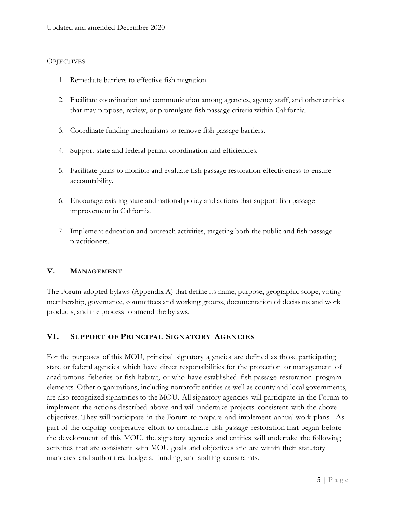## **OBJECTIVES**

- 1. Remediate barriers to effective fish migration.
- 2. Facilitate coordination and communication among agencies, agency staff, and other entities that may propose, review, or promulgate fish passage criteria within California.
- 3. Coordinate funding mechanisms to remove fish passage barriers.
- 4. Support state and federal permit coordination and efficiencies.
- 5. Facilitate plans to monitor and evaluate fish passage restoration effectiveness to ensure accountability.
- 6. Encourage existing state and national policy and actions that support fish passage improvement in California.
- 7. Implement education and outreach activities, targeting both the public and fish passage practitioners.

# **V. MANAGEMENT**

The Forum adopted bylaws (Appendix A) that define its name, purpose, geographic scope, voting membership, governance, committees and working groups, documentation of decisions and work products, and the process to amend the bylaws.

# **VI. SUPPORT OF PRINCIPAL SIGNATORY AGENCIES**

For the purposes of this MOU, principal signatory agencies are defined as those participating state or federal agencies which have direct responsibilities for the protection or management of anadromous fisheries or fish habitat, or who have established fish passage restoration program elements. Other organizations, including nonprofit entities as well as county and local governments, are also recognized signatories to the MOU. All signatory agencies will participate in the Forum to implement the actions described above and will undertake projects consistent with the above objectives. They will participate in the Forum to prepare and implement annual work plans. As part of the ongoing cooperative effort to coordinate fish passage restoration that began before the development of this MOU, the signatory agencies and entities will undertake the following activities that are consistent with MOU goals and objectives and are within their statutory mandates and authorities, budgets, funding, and staffing constraints.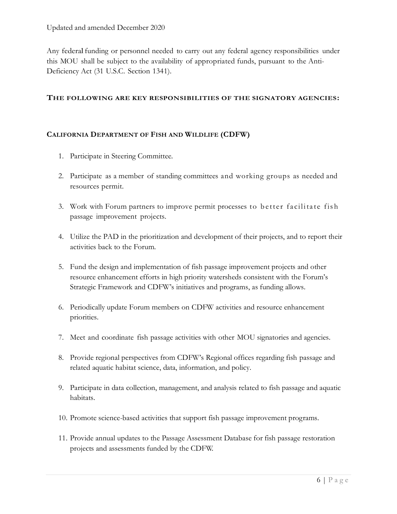Any federal funding or personnel needed to carry out any federal agency responsibilities under this MOU shall be subject to the availability of appropriated funds, pursuant to the Anti-Deficiency Act (31 U.S.C. Section 1341).

#### **THE FOLLOWING ARE KEY RESPONSIBILITIES OF THE SIGNATORY AGENCIES:**

# **CALIFORNIA DEPARTMENT OF FISH AND WILDLIFE (CDFW)**

- 1. Participate in Steering Committee.
- 2. Participate as a member of standing committees and working groups as needed and resources permit.
- 3. Work with Forum partners to improve permit processes to better facilitate fish passage improvement projects.
- 4. Utilize the PAD in the prioritization and development of their projects, and to report their activities back to the Forum.
- 5. Fund the design and implementation of fish passage improvement projects and other resource enhancement efforts in high priority watersheds consistent with the Forum's Strategic Framework and CDFW's initiatives and programs, as funding allows.
- 6. Periodically update Forum members on CDFW activities and resource enhancement priorities.
- 7. Meet and coordinate fish passage activities with other MOU signatories and agencies.
- 8. Provide regional perspectives from CDFW's Regional offices regarding fish passage and related aquatic habitat science, data, information, and policy.
- 9. Participate in data collection, management, and analysis related to fish passage and aquatic habitats.
- 10. Promote science-based activities that support fish passage improvement programs.
- 11. Provide annual updates to the Passage Assessment Database for fish passage restoration projects and assessments funded by the CDFW.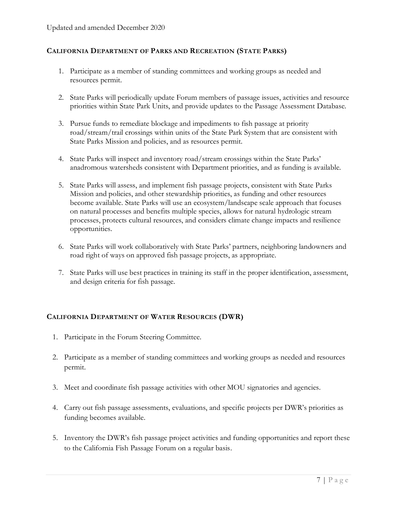#### **CALIFORNIA DEPARTMENT OF PARKS AND RECREATION (STATE PARKS)**

- 1. Participate as a member of standing committees and working groups as needed and resources permit.
- 2. State Parks will periodically update Forum members of passage issues, activities and resource priorities within State Park Units, and provide updates to the Passage Assessment Database.
- 3. Pursue funds to remediate blockage and impediments to fish passage at priority road/stream/trail crossings within units of the State Park System that are consistent with State Parks Mission and policies, and as resources permit.
- 4. State Parks will inspect and inventory road/stream crossings within the State Parks' anadromous watersheds consistent with Department priorities, and as funding is available.
- 5. State Parks will assess, and implement fish passage projects, consistent with State Parks Mission and policies, and other stewardship priorities, as funding and other resources become available. State Parks will use an ecosystem/landscape scale approach that focuses on natural processes and benefits multiple species, allows for natural hydrologic stream processes, protects cultural resources, and considers climate change impacts and resilience opportunities.
- 6. State Parks will work collaboratively with State Parks' partners, neighboring landowners and road right of ways on approved fish passage projects, as appropriate.
- 7. State Parks will use best practices in training its staff in the proper identification, assessment, and design criteria for fish passage.

# **CALIFORNIA DEPARTMENT OF WATER RESOURCES (DWR)**

- 1. Participate in the Forum Steering Committee.
- 2. Participate as a member of standing committees and working groups as needed and resources permit.
- 3. Meet and coordinate fish passage activities with other MOU signatories and agencies.
- 4. Carry out fish passage assessments, evaluations, and specific projects per DWR's priorities as funding becomes available.
- 5. Inventory the DWR's fish passage project activities and funding opportunities and report these to the California Fish Passage Forum on a regular basis.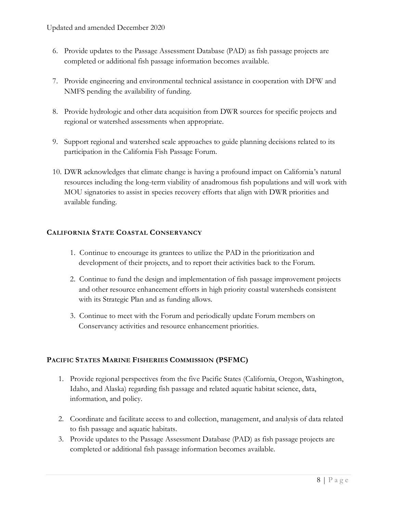- 6. Provide updates to the Passage Assessment Database (PAD) as fish passage projects are completed or additional fish passage information becomes available.
- 7. Provide engineering and environmental technical assistance in cooperation with DFW and NMFS pending the availability of funding.
- 8. Provide hydrologic and other data acquisition from DWR sources for specific projects and regional or watershed assessments when appropriate.
- 9. Support regional and watershed scale approaches to guide planning decisions related to its participation in the California Fish Passage Forum.
- 10. DWR acknowledges that climate change is having a profound impact on California's natural resources including the long-term viability of anadromous fish populations and will work with MOU signatories to assist in species recovery efforts that align with DWR priorities and available funding.

# **CALIFORNIA STATE COASTAL CONSERVANCY**

- 1. Continue to encourage its grantees to utilize the PAD in the prioritization and development of their projects, and to report their activities back to the Forum.
- 2. Continue to fund the design and implementation of fish passage improvement projects and other resource enhancement efforts in high priority coastal watersheds consistent with its Strategic Plan and as funding allows.
- 3. Continue to meet with the Forum and periodically update Forum members on Conservancy activities and resource enhancement priorities.

# **PACIFIC STATES MARINE FISHERIES COMMISSION (PSFMC)**

- 1. Provide regional perspectives from the five Pacific States (California, Oregon, Washington, Idaho, and Alaska) regarding fish passage and related aquatic habitat science, data, information, and policy.
- 2. Coordinate and facilitate access to and collection, management, and analysis of data related to fish passage and aquatic habitats.
- 3. Provide updates to the Passage Assessment Database (PAD) as fish passage projects are completed or additional fish passage information becomes available.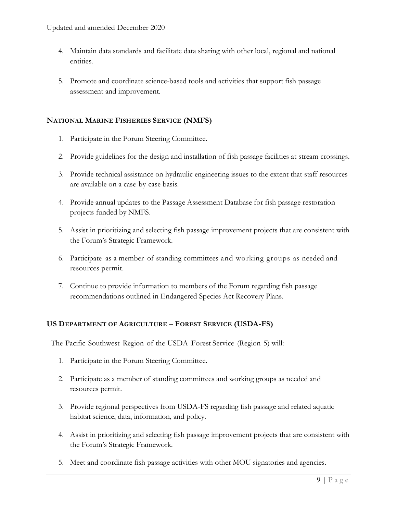- 4. Maintain data standards and facilitate data sharing with other local, regional and national entities.
- 5. Promote and coordinate science-based tools and activities that support fish passage assessment and improvement.

# **NATIONAL MARINE FISHERIES SERVICE (NMFS)**

- 1. Participate in the Forum Steering Committee.
- 2. Provide guidelines for the design and installation of fish passage facilities at stream crossings.
- 3. Provide technical assistance on hydraulic engineering issues to the extent that staff resources are available on a case-by-case basis.
- 4. Provide annual updates to the Passage Assessment Database for fish passage restoration projects funded by NMFS.
- 5. Assist in prioritizing and selecting fish passage improvement projects that are consistent with the Forum's Strategic Framework.
- 6. Participate as a member of standing committees and working groups as needed and resources permit.
- 7. Continue to provide information to members of the Forum regarding fish passage recommendations outlined in Endangered Species Act Recovery Plans.

# **US DEPARTMENT OF AGRICULTURE – FOREST SERVICE (USDA-FS)**

The Pacific Southwest Region of the USDA Forest Service (Region 5) will:

- 1. Participate in the Forum Steering Committee.
- 2. Participate as a member of standing committees and working groups as needed and resources permit.
- 3. Provide regional perspectives from USDA-FS regarding fish passage and related aquatic habitat science, data, information, and policy.
- 4. Assist in prioritizing and selecting fish passage improvement projects that are consistent with the Forum's Strategic Framework.
- 5. Meet and coordinate fish passage activities with other MOU signatories and agencies.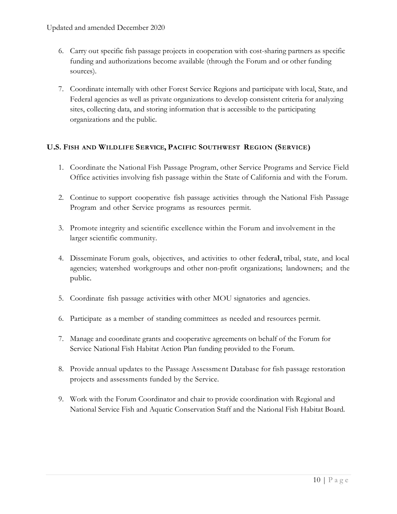- 6. Carry out specific fish passage projects in cooperation with cost-sharing partners as specific funding and authorizations become available (through the Forum and or other funding sources).
- 7. Coordinate internally with other Forest Service Regions and participate with local, State, and Federal agencies as well as private organizations to develop consistent criteria for analyzing sites, collecting data, and storing information that is accessible to the participating organizations and the public.

# **U.S. <sup>F</sup>ISH AND <sup>W</sup>ILDLIFE <sup>S</sup>ERVICE, <sup>P</sup>ACIFIC <sup>S</sup>OUTHWEST <sup>R</sup>EGION (SERVICE)**

- 1. Coordinate the National Fish Passage Program, other Service Programs and Service Field Office activities involving fish passage within the State of California and with the Forum.
- 2. Continue to support cooperative fish passage activities through the National Fish Passage Program and other Service programs as resources permit.
- 3. Promote integrity and scientific excellence within the Forum and involvement in the larger scientific community.
- 4. Disseminate Forum goals, objectives, and activities to other federal, tribal, state, and local agencies; watershed workgroups and other non-profit organizations; landowners; and the public.
- 5. Coordinate fish passage activities with other MOU signatories and agencies.
- 6. Participate as a member of standing committees as needed and resources permit.
- 7. Manage and coordinate grants and cooperative agreements on behalf of the Forum for Service National Fish Habitat Action Plan funding provided to the Forum.
- 8. Provide annual updates to the Passage Assessment Database for fish passage restoration projects and assessments funded by the Service.
- 9. Work with the Forum Coordinator and chair to provide coordination with Regional and National Service Fish and Aquatic Conservation Staff and the National Fish Habitat Board.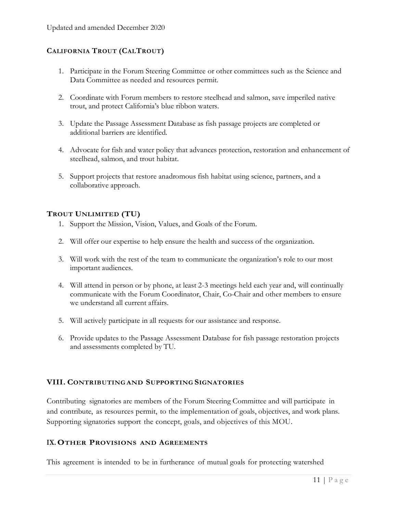# **CALIFORNIA TROUT (CALTROUT)**

- 1. Participate in the Forum Steering Committee or other committees such as the Science and Data Committee as needed and resources permit.
- 2. Coordinate with Forum members to restore steelhead and salmon, save imperiled native trout, and protect California's blue ribbon waters.
- 3. Update the Passage Assessment Database as fish passage projects are completed or additional barriers are identified.
- 4. Advocate for fish and water policy that advances protection, restoration and enhancement of steelhead, salmon, and trout habitat.
- 5. Support projects that restore anadromous fish habitat using science, partners, and a collaborative approach.

# **TROUT UNLIMITED (TU)**

- 1. Support the Mission, Vision, Values, and Goals of the Forum.
- 2. Will offer our expertise to help ensure the health and success of the organization.
- 3. Will work with the rest of the team to communicate the organization's role to our most important audiences.
- 4. Will attend in person or by phone, at least 2-3 meetings held each year and, will continually communicate with the Forum Coordinator, Chair, Co-Chair and other members to ensure we understand all current affairs.
- 5. Will actively participate in all requests for our assistance and response.
- 6. Provide updates to the Passage Assessment Database for fish passage restoration projects and assessments completed by TU.

# **VIII. CONTRIBUTING AND SUPPORTING SIGNATORIES**

Contributing signatories are members of the Forum Steering Committee and will participate in and contribute, as resources permit, to the implementation of goals, objectives, and work plans. Supporting signatories support the concept, goals, and objectives of this MOU.

#### **IX. OTHER PROVISIONS AND AGREEMENTS**

This agreement is intended to be in furtherance of mutual goals for protecting watershed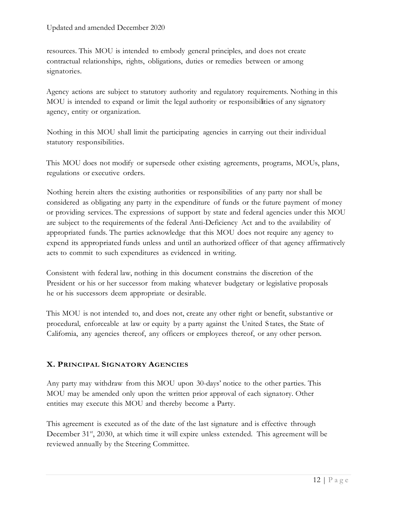resources. This MOU is intended to embody general principles, and does not create contractual relationships, rights, obligations, duties or remedies between or among signatories.

Agency actions are subject to statutory authority and regulatory requirements. Nothing in this MOU is intended to expand or limit the legal authority or responsibilities of any signatory agency, entity or organization.

Nothing in this MOU shall limit the participating agencies in carrying out their individual statutory responsibilities.

This MOU does not modify or supersede other existing agreements, programs, MOUs, plans, regulations or executive orders.

Nothing herein alters the existing authorities or responsibilities of any party nor shall be considered as obligating any party in the expenditure of funds or the future payment of money or providing services. The expressions of support by state and federal agencies under this MOU are subject to the requirements of the federal Anti-Deficiency Act and to the availability of appropriated funds. The parties acknowledge that this MOU does not require any agency to expend its appropriated funds unless and until an authorized officer of that agency affirmatively acts to commit to such expenditures as evidenced in writing.

Consistent with federal law, nothing in this document constrains the discretion of the President or his or her successor from making whatever budgetary or legislative proposals he or his successors deem appropriate or desirable.

This MOU is not intended to, and does not, create any other right or benefit, substantive or procedural, enforceable at law or equity by a party against the United S tates, the State of California, any agencies thereof, any officers or employees thereof, or any other person.

# **X. PRINCIPAL SIGNATORY AGENCIES**

Any party may withdraw from this MOU upon 30-days' notice to the other parties. This MOU may be amended only upon the written prior approval of each signatory. Other entities may execute this MOU and thereby become a Party.

This agreement is executed as of the date of the last signature and is effective through December  $31<sup>st</sup>$ , 2030, at which time it will expire unless extended. This agreement will be reviewed annually by the Steering Committee.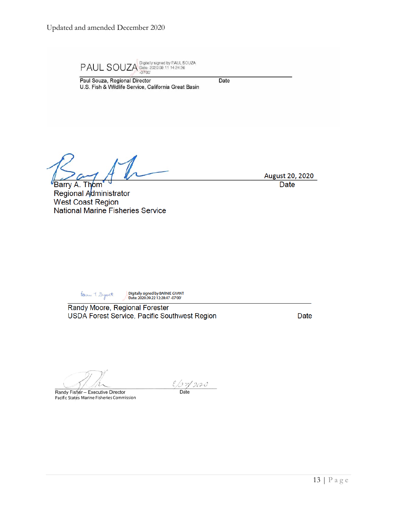Paul Souza, Regional Director

 $\text{PAUL} \text{ } \text{SOUZA}^{\text{ Digitally signed by PAUL SOUZA}}_{\text{ }2020.09.11\ 14.24.28}$ 

U.S. Fish & Wildlife Service, California Great Basin

Date

 $\mathbb{Z}$ 

Barry A. Thom Regional Administrator West Coast Region National Marine Fisheries Service

Barne T. Dyant

Digitally signed by BARNIE GYANT<br>- Date: 2020.09.22 12:28:47 -07'00'

Randy Moore, Regional Forester USDA Forest Service, Pacific Southwest Region

Date

August 20, 2020 **Date** 

Randy Fisher - Executive Director Pacific States Marine Fisheries Commission

 $\frac{\ell/37/2020}{\text{Date}}$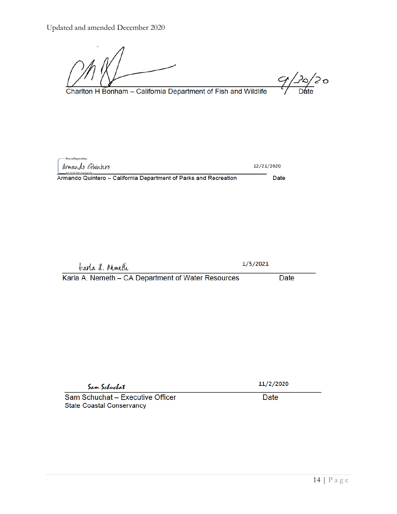$9/20/20$ 

Charlton H Bonham - California Department of Fish and Wildlife

| -DocuSigned by:<br>armando Guintero                              | 12/21/2020 |      |
|------------------------------------------------------------------|------------|------|
| $Q = 82758228538200$                                             |            |      |
| Armando Quintero – California Department of Parks and Recreation |            | Date |

tearla a. Moneth

 $1/5/2021$ 

Karla A. Nemeth - CA Department of Water Resources

Date

Sam Schuchat

Sam Schuchat - Executive Officer **State Coastal Conservancy** 

11/2/2020 Date